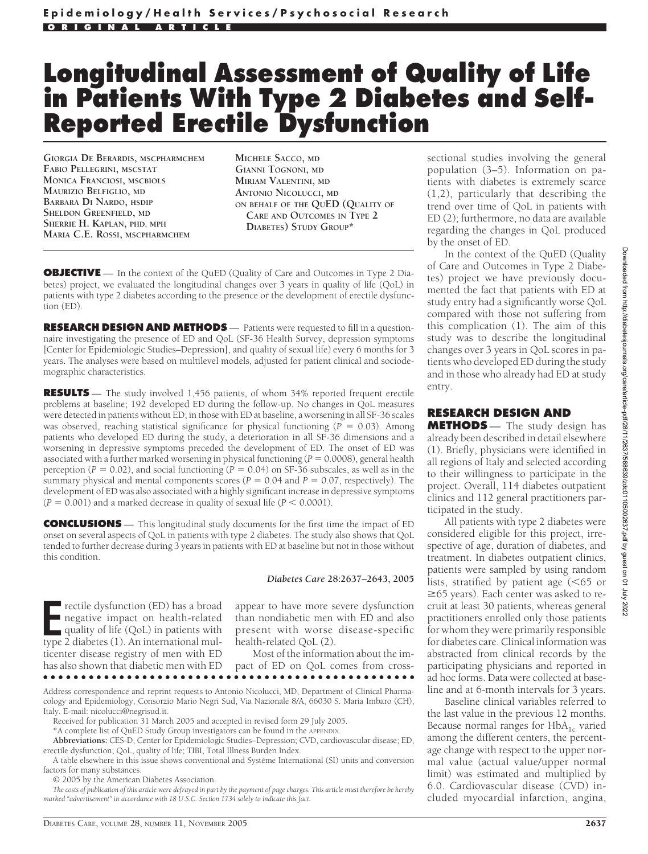# **Longitudinal Assessment of Quality of Life in Patients With Type 2 Diabetes and Self-Reported Erectile Dysfunction**

**GIORGIA DE BERARDIS, MSCPHARMCHEM FABIO PELLEGRINI, MSCSTAT MONICA FRANCIOSI, MSCBIOLS MAURIZIO BELFIGLIO, MD BARBARA DI NARDO, HSDIP SHELDON GREENFIELD, MD SHERRIE H. KAPLAN, PHD, MPH MARIA C.E. ROSSI, MSCPHARMCHEM**

**MICHELE SACCO, MD GIANNI TOGNONI, MD MIRIAM VALENTINI, MD ANTONIO NICOLUCCI, MD ON BEHALF OF THE QUED (QUALITY OF CARE AND OUTCOMES IN TYPE 2 DIABETES) STUDY GROUP\***

**OBJECTIVE** — In the context of the QuED (Quality of Care and Outcomes in Type 2 Diabetes) project, we evaluated the longitudinal changes over 3 years in quality of life (QoL) in patients with type 2 diabetes according to the presence or the development of erectile dysfunction (ED).

**RESEARCH DESIGN AND METHODS** — Patients were requested to fill in a questionnaire investigating the presence of ED and QoL (SF-36 Health Survey, depression symptoms [Center for Epidemiologic Studies–Depression], and quality of sexual life) every 6 months for 3 years. The analyses were based on multilevel models, adjusted for patient clinical and sociodemographic characteristics.

**RESULTS** — The study involved 1,456 patients, of whom 34% reported frequent erectile problems at baseline; 192 developed ED during the follow-up. No changes in QoL measures were detected in patients without ED; in those with ED at baseline, a worsening in all SF-36 scales was observed, reaching statistical significance for physical functioning  $(P = 0.03)$ . Among patients who developed ED during the study, a deterioration in all SF-36 dimensions and a worsening in depressive symptoms preceded the development of ED. The onset of ED was associated with a further marked worsening in physical functioning ( $P = 0.0008$ ), general health perception ( $P = 0.02$ ), and social functioning ( $P = 0.04$ ) on SF-36 subscales, as well as in the summary physical and mental components scores ( $P = 0.04$  and  $P = 0.07$ , respectively). The development of ED was also associated with a highly significant increase in depressive symptoms  $(P = 0.001)$  and a marked decrease in quality of sexual life  $(P < 0.0001)$ .

**CONCLUSIONS** — This longitudinal study documents for the first time the impact of ED onset on several aspects of QoL in patients with type 2 diabetes. The study also shows that QoL tended to further decrease during 3 years in patients with ED at baseline but not in those without this condition.

#### *Diabetes Care* **28:2637–2643, 2005**

**EXECUTE:** rectile dysfunction (ED) has a broad negative impact on health-related quality of life (QoL) in patients with type 2 diabetes (1). An international mulrectile dysfunction (ED) has a broad negative impact on health-related quality of life (QoL) in patients with ticenter disease registry of men with ED has also shown that diabetic men with ED ●●●●●●●●●●●●●●●●●●●●●●●●●●●●●●●●●●●●●●●●●●●●●●●●● appear to have more severe dysfunction than nondiabetic men with ED and also present with worse disease-specific health-related QoL (2).

Most of the information about the impact of ED on QoL comes from cross-

Address correspondence and reprint requests to Antonio Nicolucci, MD, Department of Clinical Pharmacology and Epidemiology, Consorzio Mario Negri Sud, Via Nazionale 8/A, 66030 S. Maria Imbaro (CH), Italy. E-mail: nicolucci@negrisud.it.

Received for publication 31 March 2005 and accepted in revised form 29 July 2005.

\*A complete list of QuED Study Group investigators can be found in the APPENDIX.

**Abbreviations:** CES-D, Center for Epidemiologic Studies–Depression; CVD, cardiovascular disease; ED, erectile dysfunction; QoL, quality of life; TIBI, Total Illness Burden Index.

A table elsewhere in this issue shows conventional and Système International (SI) units and conversion factors for many substances.

© 2005 by the American Diabetes Association.

*The costs of publication of this article were defrayed in part by the payment of page charges. This article must therefore be hereby marked "advertisement" in accordance with 18 U.S.C. Section 1734 solely to indicate this fact.*

sectional studies involving the general population (3–5). Information on patients with diabetes is extremely scarce (1,2), particularly that describing the trend over time of QoL in patients with ED (2); furthermore, no data are available regarding the changes in QoL produced by the onset of ED.

In the context of the QuED (Quality of Care and Outcomes in Type 2 Diabetes) project we have previously documented the fact that patients with ED at study entry had a significantly worse QoL compared with those not suffering from this complication (1). The aim of this study was to describe the longitudinal changes over 3 years in QoL scores in patients who developed ED during the study and in those who already had ED at study entry.

## **RESEARCH DESIGN AND**

**METHODS** — The study design has already been described in detail elsewhere (1). Briefly, physicians were identified in all regions of Italy and selected according to their willingness to participate in the project. Overall, 114 diabetes outpatient clinics and 112 general practitioners participated in the study.

All patients with type 2 diabetes were considered eligible for this project, irrespective of age, duration of diabetes, and treatment. In diabetes outpatient clinics, patients were sampled by using random lists, stratified by patient age  $(<$ 65 or  $\geq$ 65 years). Each center was asked to recruit at least 30 patients, whereas general practitioners enrolled only those patients for whom they were primarily responsible for diabetes care. Clinical information was abstracted from clinical records by the participating physicians and reported in ad hoc forms. Data were collected at baseline and at 6-month intervals for 3 years.

Baseline clinical variables referred to the last value in the previous 12 months. Because normal ranges for  $HbA_{1c}$  varied among the different centers, the percentage change with respect to the upper normal value (actual value/upper normal limit) was estimated and multiplied by 6.0. Cardiovascular disease (CVD) included myocardial infarction, angina,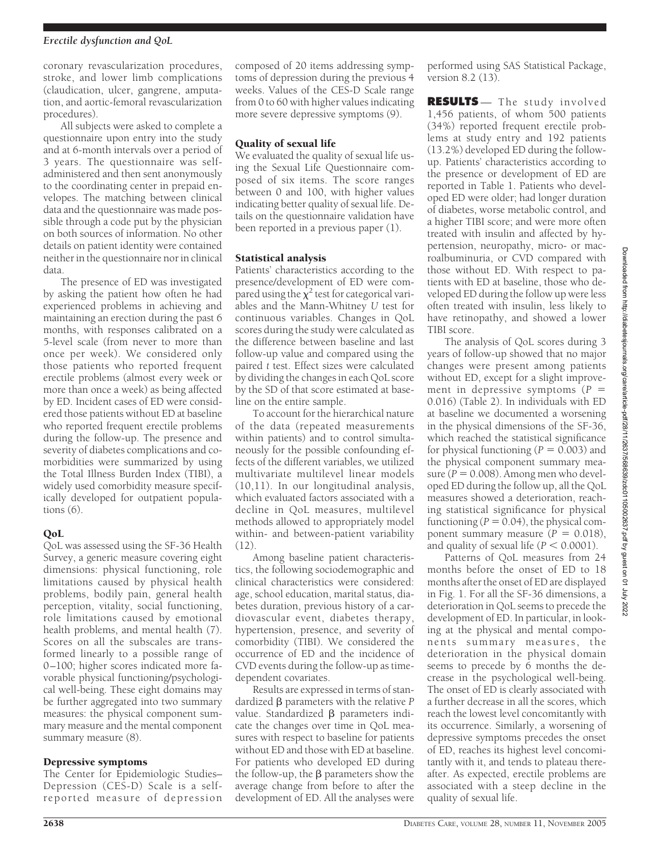## *Erectile dysfunction and QoL*

coronary revascularization procedures, stroke, and lower limb complications (claudication, ulcer, gangrene, amputation, and aortic-femoral revascularization procedures).

All subjects were asked to complete a questionnaire upon entry into the study and at 6-month intervals over a period of 3 years. The questionnaire was selfadministered and then sent anonymously to the coordinating center in prepaid envelopes. The matching between clinical data and the questionnaire was made possible through a code put by the physician on both sources of information. No other details on patient identity were contained neither in the questionnaire nor in clinical data.

The presence of ED was investigated by asking the patient how often he had experienced problems in achieving and maintaining an erection during the past 6 months, with responses calibrated on a 5-level scale (from never to more than once per week). We considered only those patients who reported frequent erectile problems (almost every week or more than once a week) as being affected by ED. Incident cases of ED were considered those patients without ED at baseline who reported frequent erectile problems during the follow-up. The presence and severity of diabetes complications and comorbidities were summarized by using the Total Illness Burden Index (TIBI), a widely used comorbidity measure specifically developed for outpatient populations (6).

# QoL

QoL was assessed using the SF-36 Health Survey, a generic measure covering eight dimensions: physical functioning, role limitations caused by physical health problems, bodily pain, general health perception, vitality, social functioning, role limitations caused by emotional health problems, and mental health (7). Scores on all the subscales are transformed linearly to a possible range of 0–100; higher scores indicated more favorable physical functioning/psychological well-being. These eight domains may be further aggregated into two summary measures: the physical component summary measure and the mental component summary measure (8).

## Depressive symptoms

The Center for Epidemiologic Studies– Depression (CES-D) Scale is a selfreported measure of depression

composed of 20 items addressing symptoms of depression during the previous 4 weeks. Values of the CES-D Scale range from 0 to 60 with higher values indicating more severe depressive symptoms (9).

## Quality of sexual life

We evaluated the quality of sexual life using the Sexual Life Questionnaire composed of six items. The score ranges between 0 and 100, with higher values indicating better quality of sexual life. Details on the questionnaire validation have been reported in a previous paper (1).

## Statistical analysis

Patients' characteristics according to the presence/development of ED were compared using the  $\chi^2$  test for categorical variables and the Mann-Whitney *U* test for continuous variables. Changes in QoL scores during the study were calculated as the difference between baseline and last follow-up value and compared using the paired *t* test. Effect sizes were calculated by dividing the changes in each QoL score by the SD of that score estimated at baseline on the entire sample.

To account for the hierarchical nature of the data (repeated measurements within patients) and to control simultaneously for the possible confounding effects of the different variables, we utilized multivariate multilevel linear models (10,11). In our longitudinal analysis, which evaluated factors associated with a decline in QoL measures, multilevel methods allowed to appropriately model within- and between-patient variability  $(12)$ 

Among baseline patient characteristics, the following sociodemographic and clinical characteristics were considered: age, school education, marital status, diabetes duration, previous history of a cardiovascular event, diabetes therapy, hypertension, presence, and severity of comorbidity (TIBI). We considered the occurrence of ED and the incidence of CVD events during the follow-up as timedependent covariates.

Results are expressed in terms of standardized  $\beta$  parameters with the relative *P* value. Standardized  $\beta$  parameters indicate the changes over time in QoL measures with respect to baseline for patients without ED and those with ED at baseline. For patients who developed ED during the follow-up, the  $\beta$  parameters show the average change from before to after the development of ED. All the analyses were

performed using SAS Statistical Package, version 8.2 (13).

**RESULTS** — The study involved 1,456 patients, of whom 500 patients (34%) reported frequent erectile problems at study entry and 192 patients (13.2%) developed ED during the followup. Patients' characteristics according to the presence or development of ED are reported in Table 1. Patients who developed ED were older; had longer duration of diabetes, worse metabolic control, and a higher TIBI score; and were more often treated with insulin and affected by hypertension, neuropathy, micro- or macroalbuminuria, or CVD compared with those without ED. With respect to patients with ED at baseline, those who developed ED during the follow up were less often treated with insulin, less likely to have retinopathy, and showed a lower TIBI score.

The analysis of QoL scores during 3 years of follow-up showed that no major changes were present among patients without ED, except for a slight improvement in depressive symptoms (*P* 0.016) (Table 2). In individuals with ED at baseline we documented a worsening in the physical dimensions of the SF-36, which reached the statistical significance for physical functioning  $(P = 0.003)$  and the physical component summary measure  $(P = 0.008)$ . Among men who developed ED during the follow up, all the QoL measures showed a deterioration, reaching statistical significance for physical functioning  $(P = 0.04)$ , the physical component summary measure  $(P = 0.018)$ , and quality of sexual life  $(P < 0.0001)$ .

Patterns of QoL measures from 24 months before the onset of ED to 18 months after the onset of ED are displayed in Fig. 1. For all the SF-36 dimensions, a deterioration in QoL seems to precede the development of ED. In particular, in looking at the physical and mental components summary measures, the deterioration in the physical domain seems to precede by 6 months the decrease in the psychological well-being. The onset of ED is clearly associated with a further decrease in all the scores, which reach the lowest level concomitantly with its occurrence. Similarly, a worsening of depressive symptoms precedes the onset of ED, reaches its highest level concomitantly with it, and tends to plateau thereafter. As expected, erectile problems are associated with a steep decline in the quality of sexual life.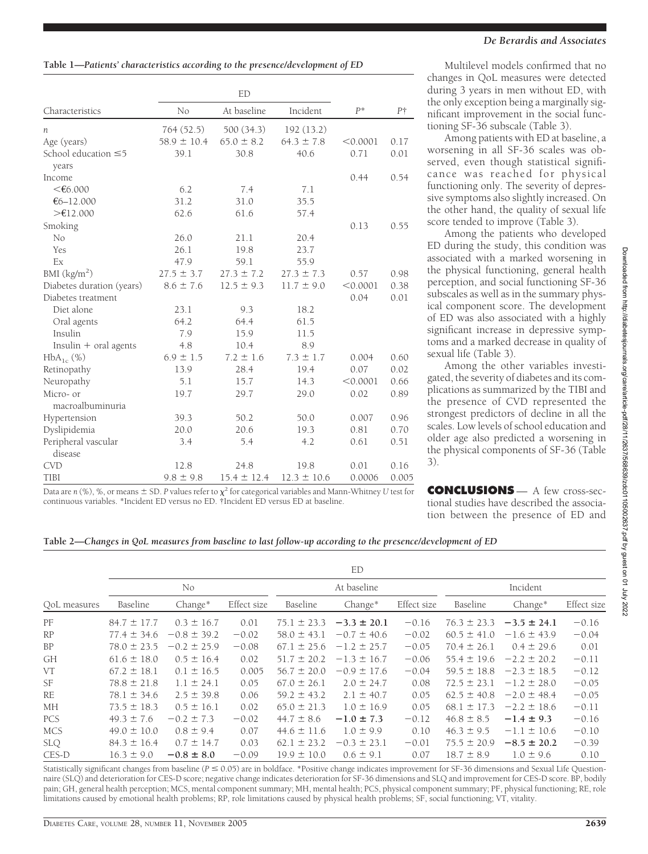## **Table 1—***Patients' characteristics according to the presence/development of ED*

|                           |                 | ED              |                 |          |       |
|---------------------------|-----------------|-----------------|-----------------|----------|-------|
| Characteristics           | No              | At baseline     | Incident        | $P^*$    | $P+$  |
| п                         | 764 (52.5)      | 500 (34.3)      | 192 (13.2)      |          |       |
| Age (years)               | $58.9 \pm 10.4$ | $65.0 \pm 8.2$  | $64.3 \pm 7.8$  | < 0.0001 | 0.17  |
| School education $\leq 5$ | 39.1            | 30.8            | 40.6            | 0.71     | 0.01  |
| years<br>Income           |                 |                 |                 | 0.44     | 0.54  |
| $<\epsilon$ 6.000         | 6.2             | 7.4             | 7.1             |          |       |
| €6-12.000                 | 31.2            | 31.0            | 35.5            |          |       |
| >€12.000                  | 62.6            | 61.6            | 57.4            |          |       |
|                           |                 |                 |                 | 0.13     |       |
| Smoking                   |                 |                 |                 |          | 0.55  |
| No                        | 26.0            | 21.1            | 20.4            |          |       |
| Yes                       | 26.1            | 19.8            | 23.7            |          |       |
| Ex                        | 47.9            | 59.1            | 55.9            |          |       |
| BMI $(kg/m2)$             | $27.5 \pm 3.7$  | $27.3 \pm 7.2$  | $27.3 \pm 7.3$  | 0.57     | 0.98  |
| Diabetes duration (years) | $8.6 \pm 7.6$   | $12.5 \pm 9.3$  | $11.7 \pm 9.0$  | < 0.0001 | 0.38  |
| Diabetes treatment        |                 |                 |                 | 0.04     | 0.01  |
| Diet alone                | 23.1            | 9.3             | 18.2            |          |       |
| Oral agents               | 64.2            | 64.4            | 61.5            |          |       |
| Insulin                   | 7.9             | 15.9            | 11.5            |          |       |
| $Insulin + oral agents$   | 4.8             | 10.4            | 8.9             |          |       |
| $HbA_{1c}$ (%)            | $6.9 \pm 1.5$   | $7.2 \pm 1.6$   | $7.3 \pm 1.7$   | 0.004    | 0.60  |
| Retinopathy               | 13.9            | 28.4            | 19.4            | 0.07     | 0.02  |
| Neuropathy                | 5.1             | 15.7            | 14.3            | < 0.0001 | 0.66  |
| Micro- or                 | 19.7            | 29.7            | 29.0            | 0.02     | 0.89  |
| macroalbuminuria          |                 |                 |                 |          |       |
| Hypertension              | 39.3            | 50.2            | 50.0            | 0.007    | 0.96  |
| Dyslipidemia              | 20.0            | 20.6            | 19.3            | 0.81     | 0.70  |
| Peripheral vascular       | 3.4             | 5.4             | 4.2             | 0.61     | 0.51  |
| disease                   |                 |                 |                 |          |       |
| <b>CVD</b>                | 12.8            | 24.8            | 19.8            | 0.01     | 0.16  |
| <b>TIBI</b>               | $9.8 \pm 9.8$   | $15.4 \pm 12.4$ | $12.3 \pm 10.6$ | 0.0006   | 0.005 |

Data are *n* (%), %, or means  $\pm$  SD. *P* values refer to  $\chi^2$  for categorical variables and Mann-Whitney *U* test for continuous variables. \*Incident ED versus no ED. †Incident ED versus ED at baseline.

# *De Berardis and Associates*

Multilevel models confirmed that no changes in QoL measures were detected during 3 years in men without ED, with the only exception being a marginally significant improvement in the social functioning SF-36 subscale (Table 3).

Among patients with ED at baseline, a worsening in all SF-36 scales was observed, even though statistical significance was reached for physical functioning only. The severity of depressive symptoms also slightly increased. On the other hand, the quality of sexual life score tended to improve (Table 3).

Among the patients who developed ED during the study, this condition was associated with a marked worsening in the physical functioning, general health perception, and social functioning SF-36 subscales as well as in the summary physical component score. The development of ED was also associated with a highly significant increase in depressive symptoms and a marked decrease in quality of sexual life (Table 3).

Among the other variables investigated, the severity of diabetes and its complications as summarized by the TIBI and the presence of CVD represented the strongest predictors of decline in all the scales. Low levels of school education and older age also predicted a worsening in the physical components of SF-36 (Table 3).

**CONCLUSIONS** — A few cross-sectional studies have described the association between the presence of ED and

| Table 2—Changes in QoL measures from baseline to last follow-up according to the presence/development of ED |  |  |  |  |
|-------------------------------------------------------------------------------------------------------------|--|--|--|--|
|                                                                                                             |  |  |  |  |

|              | ED              |                 |             |                 |                 |             |                 |                 |             |
|--------------|-----------------|-----------------|-------------|-----------------|-----------------|-------------|-----------------|-----------------|-------------|
|              | No              |                 |             | At baseline     |                 |             | Incident        |                 |             |
| QoL measures | Baseline        | $Change*$       | Effect size | Baseline        | Change*         | Effect size | Baseline        | $Change*$       | Effect size |
| PF           | $84.7 \pm 17.7$ | $0.3 \pm 16.7$  | 0.01        | $75.1 \pm 23.3$ | $-3.3 \pm 20.1$ | $-0.16$     | $76.3 \pm 23.3$ | $-3.5 \pm 24.1$ | $-0.16$     |
| RP           | $77.4 \pm 34.6$ | $-0.8 \pm 39.2$ | $-0.02$     | $58.0 \pm 43.1$ | $-0.7 \pm 40.6$ | $-0.02$     | $60.5 \pm 41.0$ | $-1.6 \pm 43.9$ | $-0.04$     |
| BP           | $78.0 \pm 23.5$ | $-0.2 \pm 25.9$ | $-0.08$     | $67.1 \pm 25.6$ | $-1.2 \pm 25.7$ | $-0.05$     | $70.4 \pm 26.1$ | $0.4 \pm 29.6$  | 0.01        |
| GH           | $61.6 \pm 18.0$ | $0.5 \pm 16.4$  | 0.02        | $51.7 \pm 20.2$ | $-1.3 \pm 16.7$ | $-0.06$     | $55.4 \pm 19.6$ | $-2.2 \pm 20.2$ | $-0.11$     |
| VT           | $67.2 \pm 18.1$ | $0.1 \pm 16.5$  | 0.005       | $56.7 \pm 20.0$ | $-0.9 \pm 17.6$ | $-0.04$     | $59.5 \pm 18.8$ | $-2.3 \pm 18.5$ | $-0.12$     |
| SF           | $78.8 \pm 21.8$ | $1.1 \pm 24.1$  | 0.05        | $67.0 \pm 26.1$ | $2.0 \pm 24.7$  | 0.08        | $72.5 \pm 23.1$ | $-1.2 \pm 28.0$ | $-0.05$     |
| <b>RE</b>    | $78.1 \pm 34.6$ | $2.5 \pm 39.8$  | 0.06        | $59.2 \pm 43.2$ | $2.1 \pm 40.7$  | 0.05        | $62.5 \pm 40.8$ | $-2.0 \pm 48.4$ | $-0.05$     |
| <b>MH</b>    | $73.5 \pm 18.3$ | $0.5 \pm 16.1$  | 0.02        | $65.0 \pm 21.3$ | $1.0 \pm 16.9$  | 0.05        | $68.1 \pm 17.3$ | $-2.2 \pm 18.6$ | $-0.11$     |
| <b>PCS</b>   | $49.3 \pm 7.6$  | $-0.2 \pm 7.3$  | $-0.02$     | $44.7 \pm 8.6$  | $-1.0 \pm 7.3$  | $-0.12$     | $46.8 \pm 8.5$  | $-1.4 \pm 9.3$  | $-0.16$     |
| <b>MCS</b>   | $49.0 \pm 10.0$ | $0.8 \pm 9.4$   | 0.07        | $44.6 \pm 11.6$ | $1.0 \pm 9.9$   | 0.10        | $46.3 \pm 9.5$  | $-1.1 \pm 10.6$ | $-0.10$     |
| <b>SLQ</b>   | $84.3 \pm 16.4$ | $0.7 \pm 14.7$  | 0.03        | $62.1 \pm 23.2$ | $-0.3 \pm 23.1$ | $-0.01$     | $75.5 \pm 20.9$ | $-8.5 \pm 20.2$ | $-0.39$     |
| CES-D        | $16.3 \pm 9.0$  | $-0.8 \pm 8.0$  | $-0.09$     | $19.9 \pm 10.0$ | $0.6 \pm 9.1$   | 0.07        | $18.7 \pm 8.9$  | $1.0 \pm 9.6$   | 0.10        |

Statistically significant changes from baseline (*P*  $\leq$  0.05) are in boldface. \*Positive change indicates improvement for SF-36 dimensions and Sexual Life Questionnaire (SLQ) and deterioration for CES-D score; negative change indicates deterioration for SF-36 dimensions and SLQ and improvement for CES-D score. BP, bodily pain; GH, general health perception; MCS, mental component summary; MH, mental health; PCS, physical component summary; PF, physical functioning; RE, role limitations caused by emotional health problems; RP, role limitations caused by physical health problems; SF, social functioning; VT, vitality.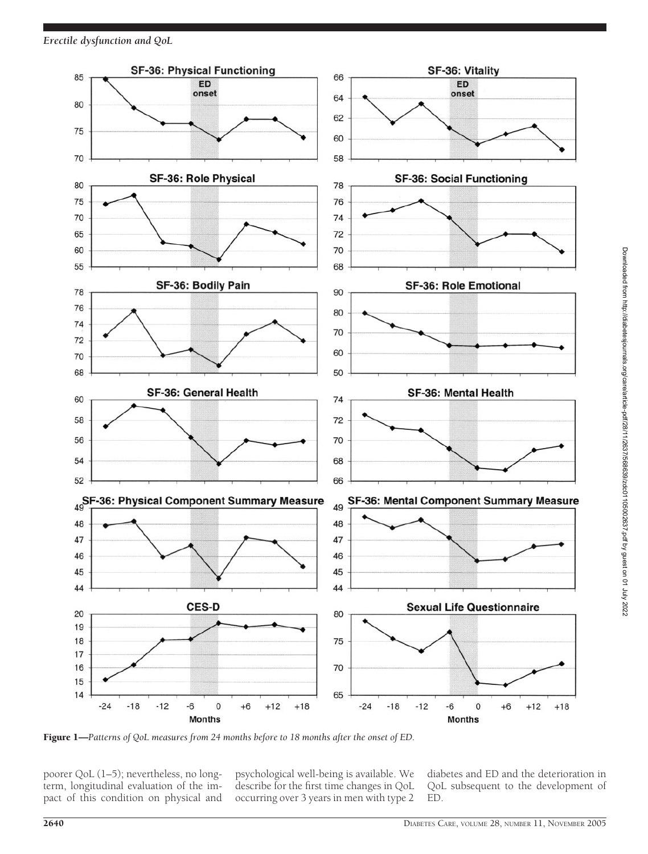

66

*Erectile dysfunction and QoL*

85

**SF-36: Physical Functioning** 

Figure 1—*Patterns of QoL measures from 24 months before to 18 months after the onset of ED.*

poorer QoL (1–5); nevertheless, no longterm, longitudinal evaluation of the impact of this condition on physical and

psychological well-being is available. We describe for the first time changes in QoL occurring over 3 years in men with type 2

diabetes and ED and the deterioration in QoL subsequent to the development of ED.

SF-36: Vitality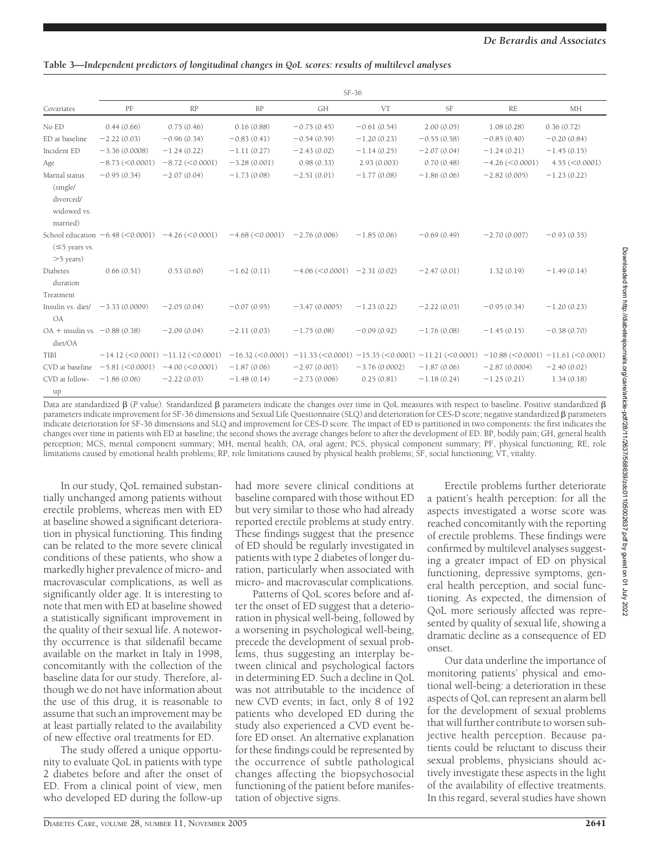# **Table 3—***Independent predictors of longitudinal changes in QoL scores: results of multilevel analyses*

|                                                  |                        |                                                                       |                                                                 | $SF-36$                                                        |                 |                                                                                                                               |                                    |                                   |
|--------------------------------------------------|------------------------|-----------------------------------------------------------------------|-----------------------------------------------------------------|----------------------------------------------------------------|-----------------|-------------------------------------------------------------------------------------------------------------------------------|------------------------------------|-----------------------------------|
| Covariates                                       | PF                     | RP                                                                    | <b>BP</b>                                                       | GH                                                             | VT              | SF                                                                                                                            | RE                                 | МH                                |
| No ED                                            | 0.44(0.66)             | 0.75(0.46)                                                            | 0.16(0.88)                                                      | $-0.75(0.45)$                                                  | $-0.61(0.54)$   | 2.00(0.05)                                                                                                                    | 1.08(0.28)                         | 0.36(0.72)                        |
| ED at baseline                                   | $-2.22(0.03)$          | $-0.96(0.34)$                                                         | $-0.83(0.41)$                                                   | $-0.54(0.59)$                                                  | $-1.20(0.23)$   | $-0.55(0.58)$                                                                                                                 | $-0.85(0.40)$                      | $-0.20(0.84)$                     |
| Incident ED                                      | $-3.36(0.0008)$        | $-1.24(0.22)$                                                         | $-1.11(0.27)$                                                   | $-2.43(0.02)$                                                  | $-1.14(0.25)$   | $-2.07(0.04)$                                                                                                                 | $-1.24(0.21)$                      | $-1.45(0.15)$                     |
| Age                                              | $-8.73 \approx 0.0001$ | $-8.72 \left( < 0.0001 \right)$                                       | $-3.28(0.001)$                                                  | 0.98(0.33)                                                     | 2.93(0.003)     | 0.70(0.48)                                                                                                                    | $-4.26 \left( \leq 0.0001 \right)$ | $4.55 \left( \leq 0.0001 \right)$ |
| Marital status                                   | $-0.95(0.34)$          | $-2.07(0.04)$                                                         | $-1.73(0.08)$                                                   | $-2.51(0.01)$                                                  | $-1.77(0.08)$   | $-1.86(0.06)$                                                                                                                 | $-2.82(0.005)$                     | $-1.23(0.22)$                     |
| (single/<br>divorced/<br>widowed vs.<br>married) |                        |                                                                       |                                                                 |                                                                |                 |                                                                                                                               |                                    |                                   |
|                                                  |                        | School education $-6.48 \, (<0.0001$ ) $-4.26 \, (<0.0001)$           | $-4.68 \left( \leq 0.0001 \right)$ $-2.76 \left( 0.006 \right)$ |                                                                | $-1.85(0.06)$   | $-0.69(0.49)$                                                                                                                 | $-2.70(0.007)$                     | $-0.93(0.35)$                     |
| $(\leq 5$ years vs.<br>$>5$ years)               |                        |                                                                       |                                                                 |                                                                |                 |                                                                                                                               |                                    |                                   |
| Diabetes<br>duration                             | 0.66(0.51)             | 0.53(0.60)                                                            | $-1.62(0.11)$                                                   | $-4.06 \left( \leq 0.0001 \right)$ $-2.31 \left( 0.02 \right)$ |                 | $-2.47(0.01)$                                                                                                                 | 1.32(0.19)                         | $-1.49(0.14)$                     |
| Treatment                                        |                        |                                                                       |                                                                 |                                                                |                 |                                                                                                                               |                                    |                                   |
| Insulin vs. diet/<br>OA                          | $-3.33(0.0009)$        | $-2.05(0.04)$                                                         | $-0.07(0.95)$                                                   | $-3.47(0.0005)$                                                | $-1.23(0.22)$   | $-2.22(0.03)$                                                                                                                 | $-0.95(0.34)$                      | $-1.20(0.23)$                     |
| $OA + insulin vs. -0.88 (0.38)$<br>diet/OA       |                        | $-2.09(0.04)$                                                         | $-2.11(0.03)$                                                   | $-1.75(0.08)$                                                  | $-0.09(0.92)$   | $-1.76(0.08)$                                                                                                                 | $-1.45(0.15)$                      | $-0.38(0.70)$                     |
| TIBI                                             |                        | $-14.12 \left( \leq 0.0001 \right) -11.12 \left( \leq 0.0001 \right)$ |                                                                 |                                                                |                 | $-16.32 \leq 0.0001$ $-11.33 \leq 0.0001$ $-15.35 \leq 0.0001$ $-11.21 \leq 0.0001$ $-10.88 \leq 0.0001$ $-11.61 \leq 0.0001$ |                                    |                                   |
| CVD at baseline                                  | $-5.81 (<0.0001)$      | $-4.00 \, (< 0.0001)$                                                 | $-1.87(0.06)$                                                   | $-2.97(0.003)$                                                 | $-3.76(0.0002)$ | $-1.87(0.06)$                                                                                                                 | $-2.87(0.0004)$                    | $-2.40(0.02)$                     |
| CVD at follow-<br>up                             | $-1.86(0.06)$          | $-2.22(0.03)$                                                         | $-1.48(0.14)$                                                   | $-2.73(0.006)$                                                 | 0.25(0.81)      | $-1.18(0.24)$                                                                                                                 | $-1.25(0.21)$                      | 1.34(0.18)                        |

Data are standardized  $\beta$  (P value). Standardized  $\beta$  parameters indicate the changes over time in QoL measures with respect to baseline. Positive standardized  $\beta$ parameters indicate improvement for SF-36 dimensions and Sexual Life Questionnaire (SLQ) and deterioration for CES-D score; negative standardized  $\beta$  parameters indicate deterioration for SF-36 dimensions and SLQ and improvement for CES-D score. The impact of ED is partitioned in two components: the first indicates the changes over time in patients with ED at baseline; the second shows the average changes before to after the development of ED. BP, bodily pain; GH, general health perception; MCS, mental component summary; MH, mental health; OA, oral agent; PCS, physical component summary; PF, physical functioning; RE, role limitations caused by emotional health problems; RP, role limitations caused by physical health problems; SF, social functioning; VT, vitality.

In our study, QoL remained substantially unchanged among patients without erectile problems, whereas men with ED at baseline showed a significant deterioration in physical functioning. This finding can be related to the more severe clinical conditions of these patients, who show a markedly higher prevalence of micro- and macrovascular complications, as well as significantly older age. It is interesting to note that men with ED at baseline showed a statistically significant improvement in the quality of their sexual life. A noteworthy occurrence is that sildenafil became available on the market in Italy in 1998, concomitantly with the collection of the baseline data for our study. Therefore, although we do not have information about the use of this drug, it is reasonable to assume that such an improvement may be at least partially related to the availability of new effective oral treatments for ED.

The study offered a unique opportunity to evaluate QoL in patients with type 2 diabetes before and after the onset of ED. From a clinical point of view, men who developed ED during the follow-up

had more severe clinical conditions at baseline compared with those without ED but very similar to those who had already reported erectile problems at study entry. These findings suggest that the presence of ED should be regularly investigated in patients with type 2 diabetes of longer duration, particularly when associated with micro- and macrovascular complications.

Patterns of QoL scores before and after the onset of ED suggest that a deterioration in physical well-being, followed by a worsening in psychological well-being, precede the development of sexual problems, thus suggesting an interplay between clinical and psychological factors in determining ED. Such a decline in QoL was not attributable to the incidence of new CVD events; in fact, only 8 of 192 patients who developed ED during the study also experienced a CVD event before ED onset. An alternative explanation for these findings could be represented by the occurrence of subtle pathological changes affecting the biopsychosocial functioning of the patient before manifestation of objective signs.

Erectile problems further deteriorate a patient's health perception: for all the aspects investigated a worse score was reached concomitantly with the reporting of erectile problems. These findings were confirmed by multilevel analyses suggesting a greater impact of ED on physical functioning, depressive symptoms, general health perception, and social functioning. As expected, the dimension of QoL more seriously affected was represented by quality of sexual life, showing a dramatic decline as a consequence of ED onset.

Our data underline the importance of monitoring patients' physical and emotional well-being: a deterioration in these aspects of QoL can represent an alarm bell for the development of sexual problems that will further contribute to worsen subjective health perception. Because patients could be reluctant to discuss their sexual problems, physicians should actively investigate these aspects in the light of the availability of effective treatments. In this regard, several studies have shown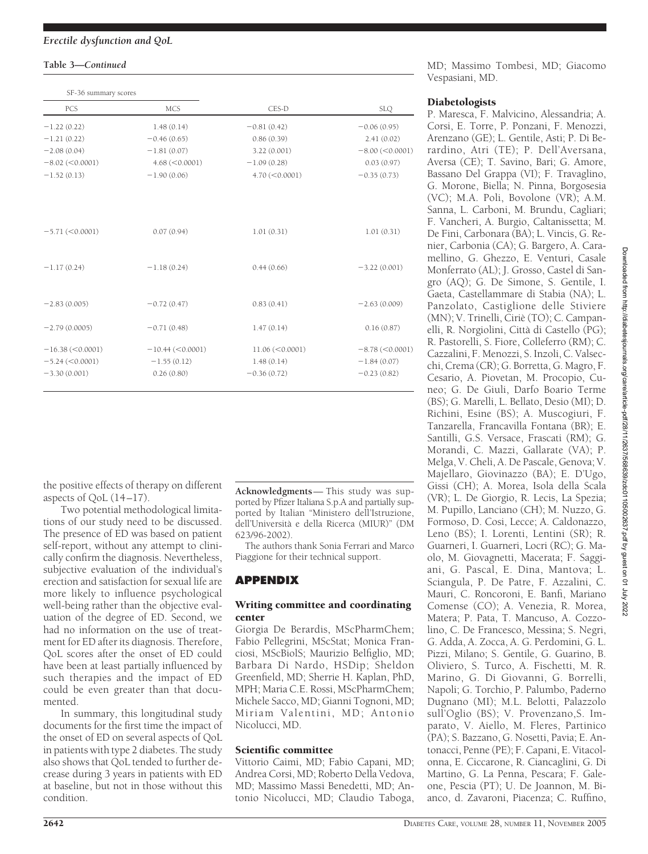## **Table 3—***Continued*

| SF-36 summary scores                                                |                                      |                                                  |                                     |  |
|---------------------------------------------------------------------|--------------------------------------|--------------------------------------------------|-------------------------------------|--|
| PCS<br><b>MCS</b>                                                   |                                      | CES-D                                            | <b>SLQ</b>                          |  |
| $-1.22(0.22)$                                                       | 1.48(0.14)                           | $-0.81(0.42)$                                    | $-0.06(0.95)$                       |  |
| $-1.21(0.22)$                                                       | $-0.46(0.65)$                        | 0.86(0.39)                                       | 2.41(0.02)                          |  |
| $-2.08(0.04)$                                                       | $-1.81(0.07)$                        | 3.22(0.001)                                      | $-8.00 \, (<0.0001)$                |  |
| $-8.02 \, (<0.0001)$                                                | $4.68 \left( \leq 0.0001 \right)$    | $-1.09(0.28)$                                    | 0.03(0.97)                          |  |
| $-1.52(0.13)$                                                       | $-1.90(0.06)$                        | $4.70 \, (\leq 0.0001)$                          | $-0.35(0.73)$                       |  |
|                                                                     |                                      |                                                  |                                     |  |
| $-5.71 (< 0.0001)$                                                  | 0.07(0.94)                           | 1.01(0.31)                                       | 1.01(0.31)                          |  |
| $-1.17(0.24)$                                                       | $-1.18(0.24)$                        | 0.44(0.66)                                       | $-3.22(0.001)$                      |  |
| $-2.83(0.005)$                                                      | $-0.72(0.47)$                        | 0.83(0.41)                                       | $-2.63(0.009)$                      |  |
| $-2.79(0.0005)$                                                     | $-0.71(0.48)$                        | 1.47(0.14)                                       | 0.16(0.87)                          |  |
| $-16.38 \left( < 0.0001 \right)$<br>$-5.24 \left( < 0.0001 \right)$ | $-10.44 \le 0.0001$<br>$-1.55(0.12)$ | $11.06 \left( \leq 0.0001 \right)$<br>1.48(0.14) | $-8.78 (< 0.0001)$<br>$-1.84(0.07)$ |  |
| $-3.30(0.001)$                                                      | 0.26(0.80)                           | $-0.36(0.72)$                                    | $-0.23(0.82)$                       |  |
|                                                                     |                                      |                                                  |                                     |  |

the positive effects of therapy on different aspects of QoL (14–17).

Two potential methodological limitations of our study need to be discussed. The presence of ED was based on patient self-report, without any attempt to clinically confirm the diagnosis. Nevertheless, subjective evaluation of the individual's erection and satisfaction for sexual life are more likely to influence psychological well-being rather than the objective evaluation of the degree of ED. Second, we had no information on the use of treatment for ED after its diagnosis. Therefore, QoL scores after the onset of ED could have been at least partially influenced by such therapies and the impact of ED could be even greater than that documented.

In summary, this longitudinal study documents for the first time the impact of the onset of ED on several aspects of QoL in patients with type 2 diabetes. The study also shows that QoL tended to further decrease during 3 years in patients with ED at baseline, but not in those without this condition.

**Acknowledgments**— This study was supported by Pfizer Italiana S.p.A and partially supported by Italian "Ministero dell'Istruzione, dell'Universita` e della Ricerca (MIUR)" (DM 623/96-2002).

The authors thank Sonia Ferrari and Marco Piaggione for their technical support.

# **APPENDIX**

### Writing committee and coordinating center

Giorgia De Berardis, MScPharmChem; Fabio Pellegrini, MScStat; Monica Franciosi, MScBiolS; Maurizio Belfiglio, MD; Barbara Di Nardo, HSDip; Sheldon Greenfield, MD; Sherrie H. Kaplan, PhD, MPH; Maria C.E. Rossi, MScPharmChem; Michele Sacco, MD; Gianni Tognoni, MD; Miriam Valentini, MD; Antonio Nicolucci, MD.

## Scientific committee

Vittorio Caimi, MD; Fabio Capani, MD; Andrea Corsi, MD; Roberto Della Vedova, MD; Massimo Massi Benedetti, MD; Antonio Nicolucci, MD; Claudio Taboga, MD; Massimo Tombesi, MD; Giacomo Vespasiani, MD.

## Diabetologists

P. Maresca, F. Malvicino, Alessandria; A. Corsi, E. Torre, P. Ponzani, F. Menozzi, Arenzano (GE); L. Gentile, Asti; P. Di Berardino, Atri (TE); P. Dell'Aversana, Aversa (CE); T. Savino, Bari; G. Amore, Bassano Del Grappa (VI); F. Travaglino, G. Morone, Biella; N. Pinna, Borgosesia (VC); M.A. Poli, Bovolone (VR); A.M. Sanna, L. Carboni, M. Brundu, Cagliari; F. Vancheri, A. Burgio, Caltanissetta; M. De Fini, Carbonara (BA); L. Vincis, G. Renier, Carbonia (CA); G. Bargero, A. Caramellino, G. Ghezzo, E. Venturi, Casale Monferrato (AL); J. Grosso, Castel di Sangro (AQ); G. De Simone, S. Gentile, I. Gaeta, Castellammare di Stabia (NA); L. Panzolato, Castiglione delle Stiviere (MN); V. Trinelli, Cirie` (TO); C. Campanelli, R. Norgiolini, Citta` di Castello (PG); R. Pastorelli, S. Fiore, Colleferro (RM); C. Cazzalini, F. Menozzi, S. Inzoli, C. Valsecchi, Crema (CR); G. Borretta, G. Magro, F. Cesario, A. Piovetan, M. Procopio, Cuneo; G. De Giuli, Darfo Boario Terme (BS); G. Marelli, L. Bellato, Desio (MI); D. Richini, Esine (BS); A. Muscogiuri, F. Tanzarella, Francavilla Fontana (BR); E. Santilli, G.S. Versace, Frascati (RM); G. Morandi, C. Mazzi, Gallarate (VA); P. Melga, V. Cheli, A. De Pascale, Genova; V. Majellaro, Giovinazzo (BA); E. D'Ugo, Gissi (CH); A. Morea, Isola della Scala (VR); L. De Giorgio, R. Lecis, La Spezia; M. Pupillo, Lanciano (CH); M. Nuzzo, G. Formoso, D. Cosi, Lecce; A. Caldonazzo, Leno (BS); I. Lorenti, Lentini (SR); R. Guarneri, I. Guarneri, Locri (RC); G. Maolo, M. Giovagnetti, Macerata; F. Saggiani, G. Pascal, E. Dina, Mantova; L. Sciangula, P. De Patre, F. Azzalini, C. Mauri, C. Roncoroni, E. Banfi, Mariano Comense (CO); A. Venezia, R. Morea, Matera; P. Pata, T. Mancuso, A. Cozzolino, C. De Francesco, Messina; S. Negri, G. Adda, A. Zocca, A. G. Perdomini, G. L. Pizzi, Milano; S. Gentile, G. Guarino, B. Oliviero, S. Turco, A. Fischetti, M. R. Marino, G. Di Giovanni, G. Borrelli, Napoli; G. Torchio, P. Palumbo, Paderno Dugnano (MI); M.L. Belotti, Palazzolo sull'Oglio (BS); V. Provenzano,S. Imparato, V. Aiello, M. Fleres, Partinico (PA); S. Bazzano, G. Nosetti, Pavia; E. Antonacci, Penne (PE); F. Capani, E. Vitacolonna, E. Ciccarone, R. Ciancaglini, G. Di Martino, G. La Penna, Pescara; F. Galeone, Pescia (PT); U. De Joannon, M. Bianco, d. Zavaroni, Piacenza; C. Ruffino,